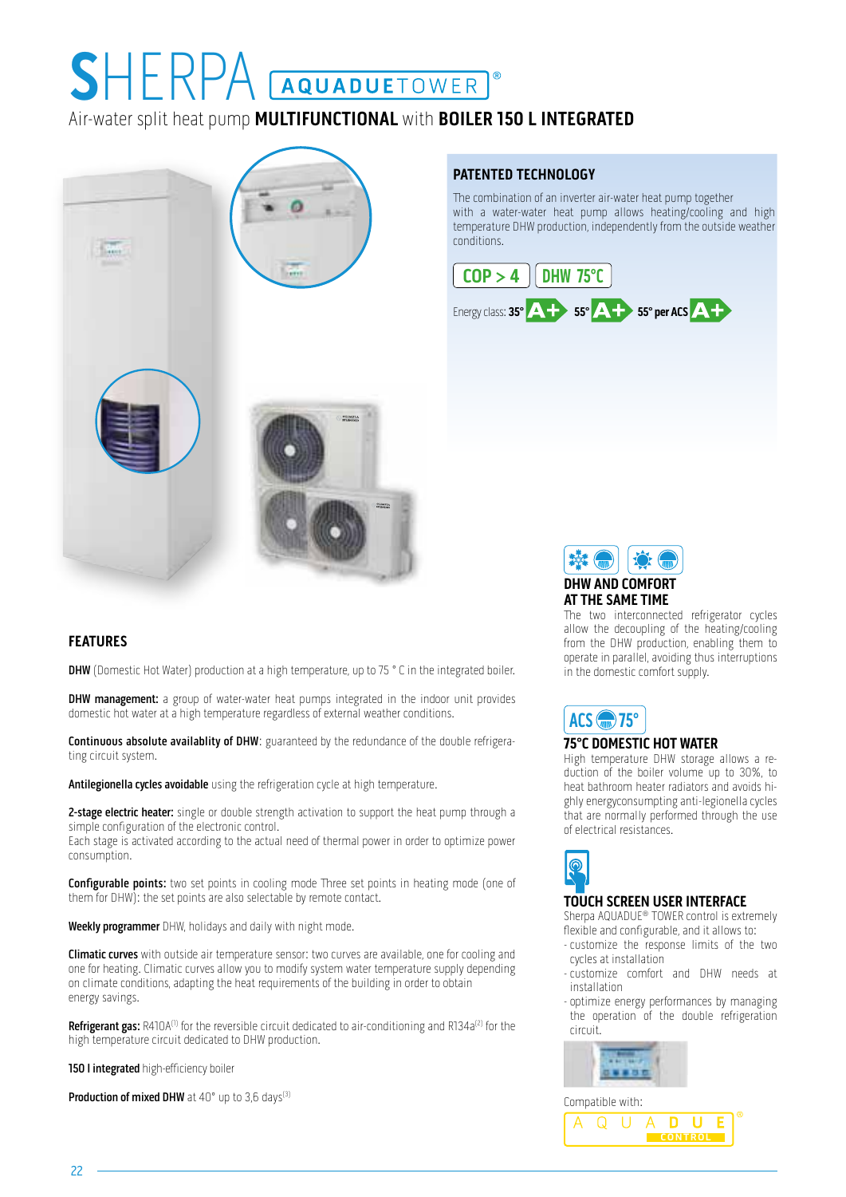# Air-water split heat pump **MULTIFUNCTIONAL** with **BOILER 150 L INTEGRATED SEE REPA GARAGER SEE AND TO BE SEEN**

# **Theor**

## **PATENTED TECHNOLOGY**

The combination of an inverter air-water heat pump together with a water-water heat pump allows heating/cooling and high temperature DHW production, independently from the outside weather conditions.





The two interconnected refrigerator cycles allow the decoupling of the heating/cooling from the DHW production, enabling them to operate in parallel, avoiding thus interruptions in the domestic comfort supply.

# ACS **400** 75°

#### **75°C DOMESTIC HOT WATER**

High temperature DHW storage allows a reduction of the boiler volume up to 30%, to heat bathroom heater radiators and avoids highly energyconsumpting anti-legionella cycles that are normally performed through the use of electrical resistances.



#### **TOUCH SCREEN USER INTERFACE**

Sherpa AQUADUE® TOWER control is extremely flexible and configurable, and it allows to:

- customize the response limits of the two cycles at installation
- customize comfort and DHW needs at installation
- optimize energy performances by managing the operation of the double refrigeration circuit.





## **FEATURES**

**DHW** (Domestic Hot Water) production at a high temperature, up to 75 ° C in the integrated boiler.

**DHW management:** a group of water-water heat pumps integrated in the indoor unit provides domestic hot water at a high temperature regardless of external weather conditions.

Continuous absolute availablity of DHW: guaranteed by the redundance of the double refrigerating circuit system.

Antilegionella cycles avoidable using the refrigeration cycle at high temperature.

2-stage electric heater: single or double strength activation to support the heat pump through a simple configuration of the electronic control.

Each stage is activated according to the actual need of thermal power in order to optimize power consumption.

**Configurable points:** two set points in cooling mode Three set points in heating mode (one of them for DHW): the set points are also selectable by remote contact.

Weekly programmer DHW, holidays and daily with night mode.

Climatic curves with outside air temperature sensor: two curves are available, one for cooling and one for heating. Climatic curves allow you to modify system water temperature supply depending on climate conditions, adapting the heat requirements of the building in order to obtain energy savings.

Refrigerant gas: R410A<sup>(1)</sup> for the reversible circuit dedicated to air-conditioning and R134a<sup>(2)</sup> for the high temperature circuit dedicated to DHW production.

150 I integrated high-efficiency boiler

Production of mixed DHW at 40° up to 3,6 days<sup>(3)</sup>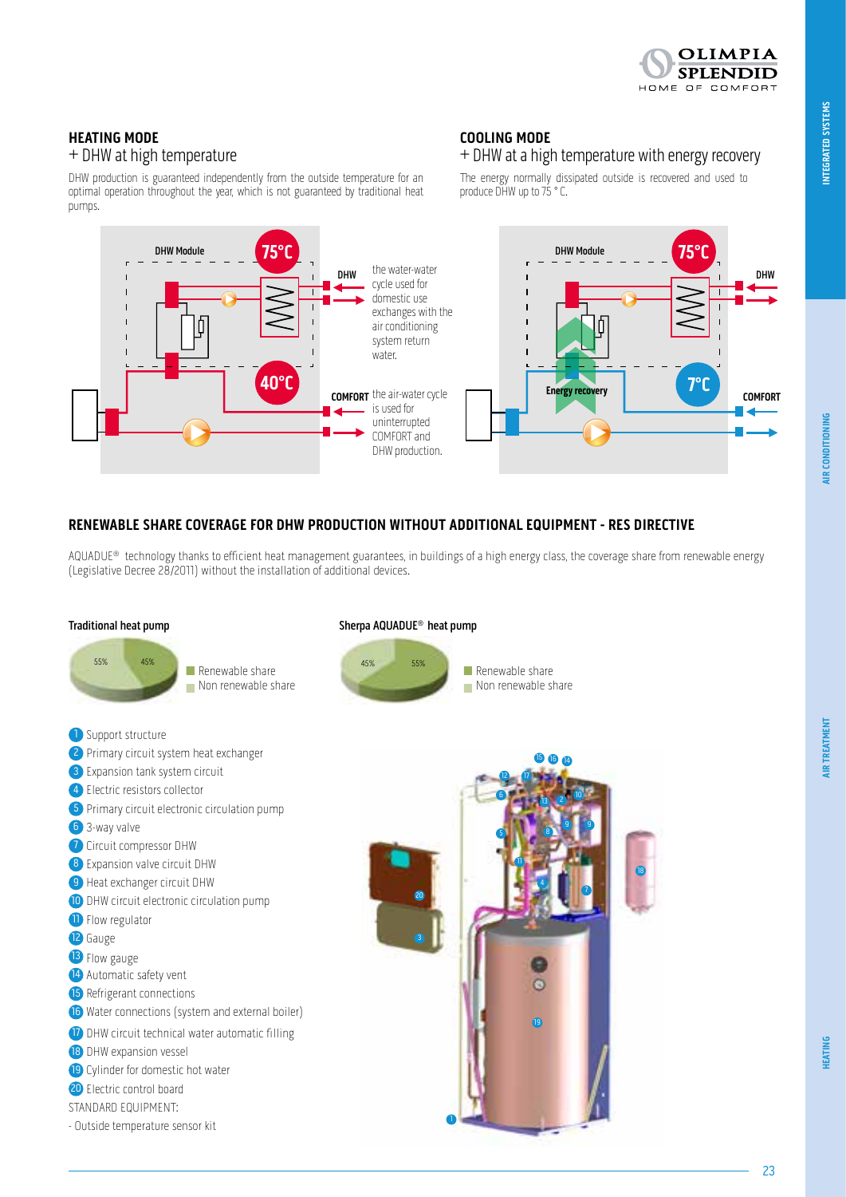

# **HEATING MODE** + DHW at high temperature

DHW production is guaranteed independently from the outside temperature for an optimal operation throughout the year, which is not guaranteed by traditional heat pumps.

# **COOLING MODE**

# + DHW at a high temperature with energy recovery

The energy normally dissipated outside is recovered and used to produce DHW up to 75 ° C.



#### **RENEWABLE SHARE COVERAGE FOR DHW PRODUCTION WITHOUT ADDITIONAL EQUIPMENT - RES DIRECTIVE**

AQUADUE® technology thanks to efficient heat management guarantees, in buildings of a high energy class, the coverage share from renewable energy (Legislative Decree 28/2011) without the installation of additional devices.



**AIR CONDITIONING** 

**INTEGRATED SYSTEMS AIR CONDITIONING**

**INTEGRATED SYSTEMS**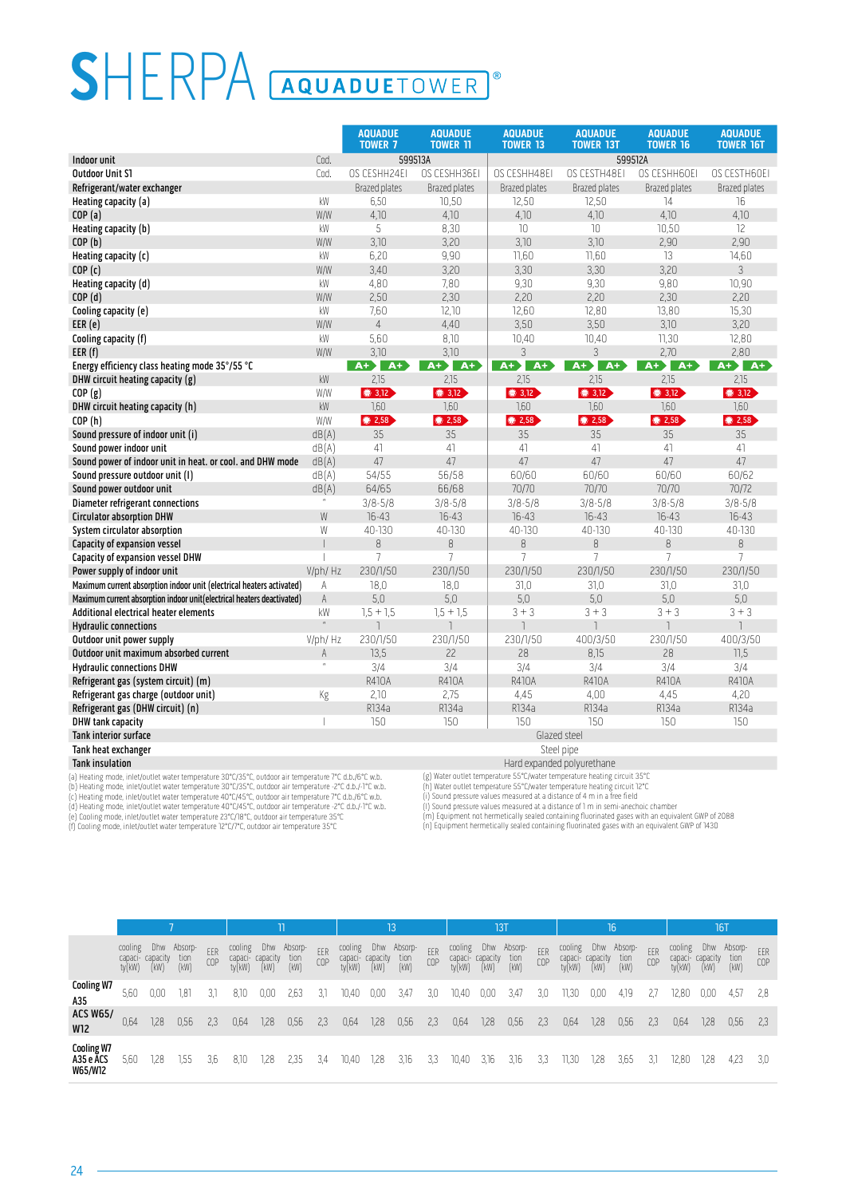# SHERPA **AQUADUETOWER**  $\overline{0}$

|                                                                            |                | <b>AQUADUE</b><br><b>TOWER 7</b>        | <b>AQUADUE</b><br><b>TOWER 11</b> | <b>AQUADUE</b><br><b>TOWER 13</b> | <b>AQUADUE</b><br><b>TOWER 13T</b> | <b>AQUADUE</b><br><b>TOWER 16</b> | <b>AQUADUE</b><br><b>TOWER 16T</b> |
|----------------------------------------------------------------------------|----------------|-----------------------------------------|-----------------------------------|-----------------------------------|------------------------------------|-----------------------------------|------------------------------------|
| Indoor unit                                                                | Cod.           |                                         | 599513A                           |                                   | 599512A                            |                                   |                                    |
| <b>Outdoor Unit S1</b>                                                     | Cod.           | OS CESHH24EI                            | OS CESHH36EI                      | OS CESHH48EI                      | OS CESTH48EI                       | OS CESHH60EI                      | OS CESTH60EI                       |
| Refrigerant/water exchanger                                                |                | <b>Brazed plates</b>                    | <b>Brazed plates</b>              | Brazed plates                     | <b>Brazed plates</b>               | Brazed plates                     | Brazed plates                      |
| Heating capacity (a)                                                       | kW             | 6,50                                    | 10,50                             | 12,50                             | 12,50                              | $\overline{14}$                   | 16                                 |
| COP(a)                                                                     | W/W            | 4,10                                    | 4,10                              | 4,10                              | 4,10                               | 4,10                              | 4,10                               |
| Heating capacity (b)                                                       | kW             | 5                                       | 8,30                              | 10                                | 10                                 | 10,50                             | 12                                 |
| COP(b)                                                                     | W/W            | 3,10                                    | 3,20                              | 3,10                              | 3,10                               | 2,90                              | 2,90                               |
| Heating capacity $(c)$                                                     | kW             | 6,20                                    | 9,90                              | 11,60                             | 11,60                              | 13                                | 14,60                              |
| COP(c)                                                                     | W/W            | 3,40                                    | 3,20                              | 3,30                              | 3,30                               | 3.20                              | 3                                  |
| Heating capacity (d)                                                       | kW             | 4,80                                    | 7,80                              | 9,30                              | 9,30                               | 9,80                              | 10,90                              |
| COP(d)                                                                     | W/W            | 2,50                                    | 2,30                              | 2,20                              | 2,20                               | 2,30                              | 2,20                               |
| Cooling capacity (e)                                                       | kW             | 7,60                                    | 12,10                             | 12,60                             | 12,80                              | 13,80                             | 15,30                              |
| EER(e)                                                                     | W/W            | $\overline{4}$                          | 4,40                              | 3,50                              | 3,50                               | 3,10                              | 3,20                               |
| Cooling capacity (f)                                                       | kW             | 5,60                                    | 8,10                              | 10,40                             | 10,40                              | 11,30                             | 12,80                              |
| EER(f)                                                                     | W/W            | 3,10                                    | 3,10                              | 3                                 | 3                                  | 2,70                              | 2,80                               |
| Energy efficiency class heating mode 35°/55 °C                             |                | $A+$<br>$A+$                            | $A +$ $A +$                       | $A+$<br>$A+$                      | $A + \lambda$<br>$A+$              | $A + \lambda$<br>$A+$             | $A + \lambda A +$                  |
| DHW circuit heating capacity (g)                                           | kW             | 2,15                                    | 2,15                              | 2,15                              | 2,15                               | 2,15                              | 2,15                               |
| COP(g)                                                                     | W/W            | $\bigcirc$ 3,12                         | $\bigcirc$ 3,12                   | $\bigcirc$ 3,12                   | $\circ$ 3,12                       | $\bigcirc$ 3,12                   | $\bigcirc$ 3,12                    |
| DHW circuit heating capacity (h)                                           | kW             | 1,60                                    | 1,60                              | 7,60                              | 1,60                               | 1,60                              | 1,60                               |
| COP(h)                                                                     | W/W            | $\circ$ 2,58                            | ● 2,58                            | $\bigcirc$ 2,58                   | $\bullet$ 2,58                     | <b>32,58</b>                      | $\circ$ 2,58                       |
| Sound pressure of indoor unit (i)                                          | dB(A)          | 35                                      | 35                                | 35                                | 35                                 | 35                                | 35                                 |
| Sound power indoor unit                                                    | dB(A)          | 41                                      | 41                                | 41                                | 41                                 | 41                                | 41                                 |
| Sound power of indoor unit in heat. or cool. and DHW mode                  | dB(A)          | 47                                      | 47                                | 47                                | 47                                 | 47                                | 47                                 |
| Sound pressure outdoor unit (1)                                            | dB(A)          | 54/55                                   | 56/58                             | 60/60                             | 60/60                              | 60/60                             | 60/62                              |
| Sound power outdoor unit                                                   | dB(A)          | 64/65                                   | 66/68                             | 70/70                             | 70/70                              | 70/70                             | 70/72                              |
| Diameter refrigerant connections                                           |                | $3/8 - 5/8$                             | $3/8 - 5/8$                       | $3/8 - 5/8$                       | $3/8 - 5/8$                        | $3/8 - 5/8$                       | $3/8 - 5/8$                        |
| <b>Circulator absorption DHW</b>                                           | W              | $16 - 43$                               | $16-43$                           | $16-43$                           | $16 - 43$                          | $16 - 43$                         | 16-43                              |
| System circulator absorption                                               | W              | 40-130                                  | 40-130                            | 40-130                            | 40-130                             | 40-130                            | 40-130                             |
| Capacity of expansion vessel                                               |                | 8                                       | 8                                 | 8                                 | 8                                  | $\, 8$                            | 8                                  |
| Capacity of expansion vessel DHW                                           |                | $\overline{7}$                          | 7                                 | $\overline{7}$                    | $\overline{7}$                     | $\overline{7}$                    | $\overline{7}$                     |
| Power supply of indoor unit                                                | V/ph/ Hz       | 230/1/50                                | 230/1/50                          | 230/1/50                          | 230/1/50                           | 230/1/50                          | 230/1/50                           |
| Maximum current absorption indoor unit (electrical heaters activated)      | A              | 18,0                                    | 18,0                              | 31,0                              | 31,0                               | 31,0                              | 31,0                               |
| Maximum current absorption indoor unit (electrical heaters deactivated)    | A              | 5,0                                     | 5,0                               | 5,0                               | 5,0                                | 5,0                               | 5,0                                |
| Additional electrical heater elements                                      | kW             | $1,5 + 1,5$<br>$\overline{\phantom{a}}$ | $1.5 + 1.5$                       | $3 + 3$                           | $3 + 3$                            | $3 + 3$                           | $3 + 3$<br>$\overline{1}$          |
| <b>Hydraulic connections</b>                                               |                |                                         |                                   |                                   | 400/3/50                           | 230/1/50                          | 400/3/50                           |
| Outdoor unit power supply                                                  | V/ph/ Hz<br>A  | 230/1/50                                | 230/1/50<br>22                    | 230/1/50<br>28                    | 8,15                               | 28                                |                                    |
| Outdoor unit maximum absorbed current                                      | $\mathfrak{m}$ | 13,5<br>3/4                             | 3/4                               | 3/4                               | 3/4                                | 3/4                               | 11,5<br>3/4                        |
| <b>Hydraulic connections DHW</b>                                           |                | <b>R410A</b>                            | R410A                             | <b>R410A</b>                      | R410A                              | R410A                             | R410A                              |
| Refrigerant gas (system circuit) (m)                                       |                | 2,10                                    | 2,75                              | 4,45                              | 4,00                               | 4,45                              |                                    |
| Refrigerant gas charge (outdoor unit)<br>Refrigerant gas (DHW circuit) (n) | Kg             | R134a                                   | R134a                             | R134a                             | R134a                              | R134a                             | 4,20<br>R134a                      |
| <b>DHW tank capacity</b>                                                   |                | 150                                     | 150                               | 150                               | 150                                | 150                               | 150                                |
| <b>Tank interior surface</b>                                               |                |                                         |                                   | Glazed steel                      |                                    |                                   |                                    |
| Tank heat exchanger                                                        |                |                                         |                                   | Steel pipe                        |                                    |                                   |                                    |
| <b>Tank insulation</b>                                                     |                |                                         |                                   | Hard expanded polyurethane        |                                    |                                   |                                    |
|                                                                            |                |                                         |                                   |                                   |                                    |                                   |                                    |

(a) Heating mode, intel/outlet water temperature 30°C/35°C, outdoor air temperature 7°C d.b./6°C w.b.<br>(b) Heating mode, intel/outlet water temperature 30°C/35°C, outdoor air temperature -2°C d.b./-1°C w.b.<br>(c) Heating mode

(g) Water outlet temperature 55°C/water temperature heating circuit 35°C (h) Water outlet temperature 55°C/water temperature heating circuit 12°C

(i) Sound pressure values measured at a distance of 4 m in a free field (l) Sound pressure values measured at a distance of 1 m in semi-anechoic chamber

(m) Equipment not hermetically sealed containing fluorinated gases with an equivalent GWP of 2088 (n) Equipment hermetically sealed containing fluorinated gases with an equivalent GWP of 1430

|                                    |                                     |                         |                         |            |                              | 11                      |                         |            |                              | 13'                     |                         |            |                              | <b>13T</b>              |                         |            |                              | 16                      |                         |            |                              | <b>16T</b>              |                         |            |
|------------------------------------|-------------------------------------|-------------------------|-------------------------|------------|------------------------------|-------------------------|-------------------------|------------|------------------------------|-------------------------|-------------------------|------------|------------------------------|-------------------------|-------------------------|------------|------------------------------|-------------------------|-------------------------|------------|------------------------------|-------------------------|-------------------------|------------|
|                                    | cooling<br>capaci-<br>$tv$ ( $kW$ ) | Dhw<br>capacity<br>(kW) | Absorp-<br>tion<br>(kW) | EER<br>COP | cooling<br>capaci-<br>ty(kW) | Dhw<br>capacity<br>(kW) | Absorp-<br>tion<br>(kW) | EER<br>COP | cooling<br>capaci-<br>ty(kW) | Dhw<br>capacity<br>(kW) | Absorp-<br>tion<br>(kW) | EER<br>COP | cooling<br>capaci-<br>ty(kW) | Dhw<br>capacity<br>(kW) | Absorp-<br>tion<br>(kW) | EER<br>COP | cooling<br>capaci-<br>ty(kW) | Dhw<br>capacity<br>(kW) | Absorp-<br>tion<br>(kW) | EER<br>COP | cooling<br>capaci-<br>ty(kW) | Dhw<br>capacity<br>(kW) | Absorp-<br>tion<br>(kW) | EER<br>COP |
| <b>Cooling W7</b><br>A35           | 5,60                                | 0.00                    | 1,81                    | 3.1        | 8,10                         | 0,00                    | 2,63                    | 3,1        | 10,40                        | 0,00                    | 3,47                    | 3,0        | 10,40                        | 0,00                    | 3.47                    | 3,0        | 11,30                        | 0,00                    | 4.19                    | 2.         | 12.80                        | 0.00                    | 4,57                    | 2.8        |
| <b>ACS W65/</b><br><b>W12</b>      | 0.64                                | 1,28                    | 0,56                    | 2,3        | 0,64                         | 1,28                    | 0,56                    | 2,3        | 0,64                         | 7,28                    | 0,56                    | 2,3        | 0,64                         | 1,28                    | 0,56                    | 2,3        | 0,64                         | 1,28                    | 0,56                    | 2,3        | 0,64                         | 1,28                    | 0,56                    | -2.3       |
| Cooling W7<br>A35 e ACS<br>W65/W12 | 5,60                                | 1.28                    | 1,55                    | 3,6        | 8,10                         | ,28                     | 2,35                    | 3,4        | 10,40                        | 1,28                    | 3,16                    | 3,3        | 10,40                        | 3,16                    | 3,16                    | 3,3        | 11.3C                        | 1,28                    | 3,65                    | 3,1        | 12,80                        | 1,28                    | 4,23                    | 3,0        |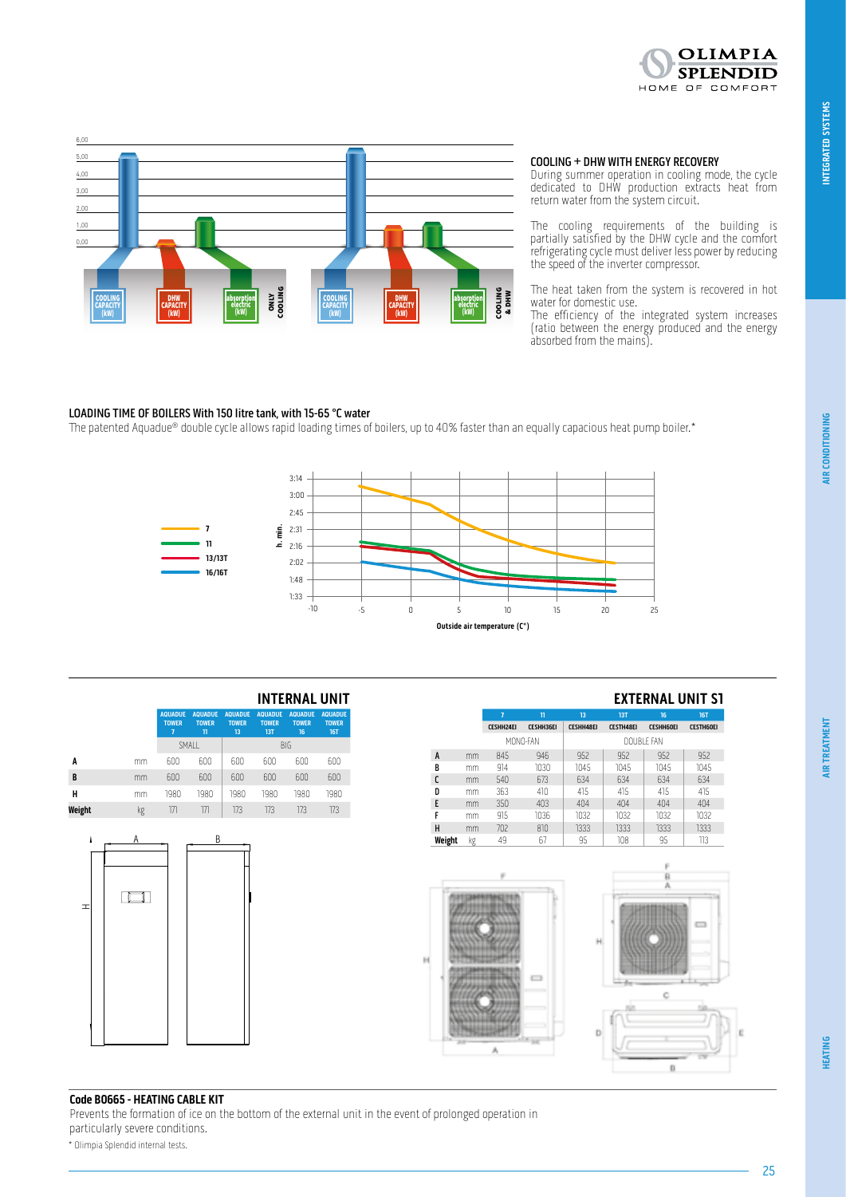

**HEATING**



COOLING + DHW WITH ENERGY RECOVERY

During summer operation in cooling mode, the cycle dedicated to DHW production extracts heat from return water from the system circuit.

The cooling requirements of the building is partially satisfied by the DHW cycle and the comfort refrigerating cycle must deliver less power by reducing the speed of the inverter compressor.

The heat taken from the system is recovered in hot water for domestic use.

The efficiency of the integrated system increases (ratio between the energy produced and the energy absorbed from the mains).

#### LOADING TIME OF BOILERS With 150 litre tank, with 15-65 °C water

**11 7**

The patented Aquadue® double cycle allows rapid loading times of boilers, up to 40% faster than an equally capacious heat pump boiler.\*



| <b>EXTERNAL UNIT S1</b> |  |  |
|-------------------------|--|--|
|-------------------------|--|--|

|        |    | 7                | $\mathbf{u}$     | 13               | <b>13T</b>       | 16               | <b>16T</b>       |
|--------|----|------------------|------------------|------------------|------------------|------------------|------------------|
|        |    | <b>CESHH24EI</b> | <b>CESHH36EI</b> | <b>CESHH48EI</b> | <b>CESTH48EI</b> | <b>CESHH60EI</b> | <b>CESTH60EI</b> |
|        |    | MONO-FAN         |                  |                  | DOUBLE FAN       |                  |                  |
| A      | mm | 845              | 946              | 952              | 952              | 952              | 952              |
| B      | mm | 914              | 1030             | 1045             | 1045             | 1045             | 1045             |
| C      | mm | 540              | 673              | 634              | 634              | 634              | 634              |
| D      | mm | 363              | 410              | 415              | 415              | 415              | 415              |
| E      | mm | 350              | 403              | 404              | 404              | 404              | 404              |
|        | mm | 915              | 1036             | 1032             | 1032             | 1032             | 1032             |
| н      | mm | 702              | 810              | 1333             | 1333             | 1333             | 1333             |
| Weight | kg | 49               | 67               | 95               | 108              | 95               | 113              |



**Code B0665 - HEATING CABLE KIT**

**AQUADUE TOWER 7**

A

 $\Box$ 

 $\overline{a}$ 

-4

**AQUADUE TOWER 11**

**A** mm 600 600 600 600 600 600 **B** mm 600 600 600 600 600 600 **H** mm 1980 1980 1980 1980 1980 1980 **Weight** kg 171 171 173 173 173 173

B

**AQUADUE TOWER 13**

SMALL BIG

**AQUADUE TOWER 13T**

**AQUADUE TOWER 16**

**INTERNAL UNIT**

**AQUADUE TOWER 16T**

Prevents the formation of ice on the bottom of the external unit in the event of prolonged operation in particularly severe conditions.

\* Olimpia Splendid internal tests.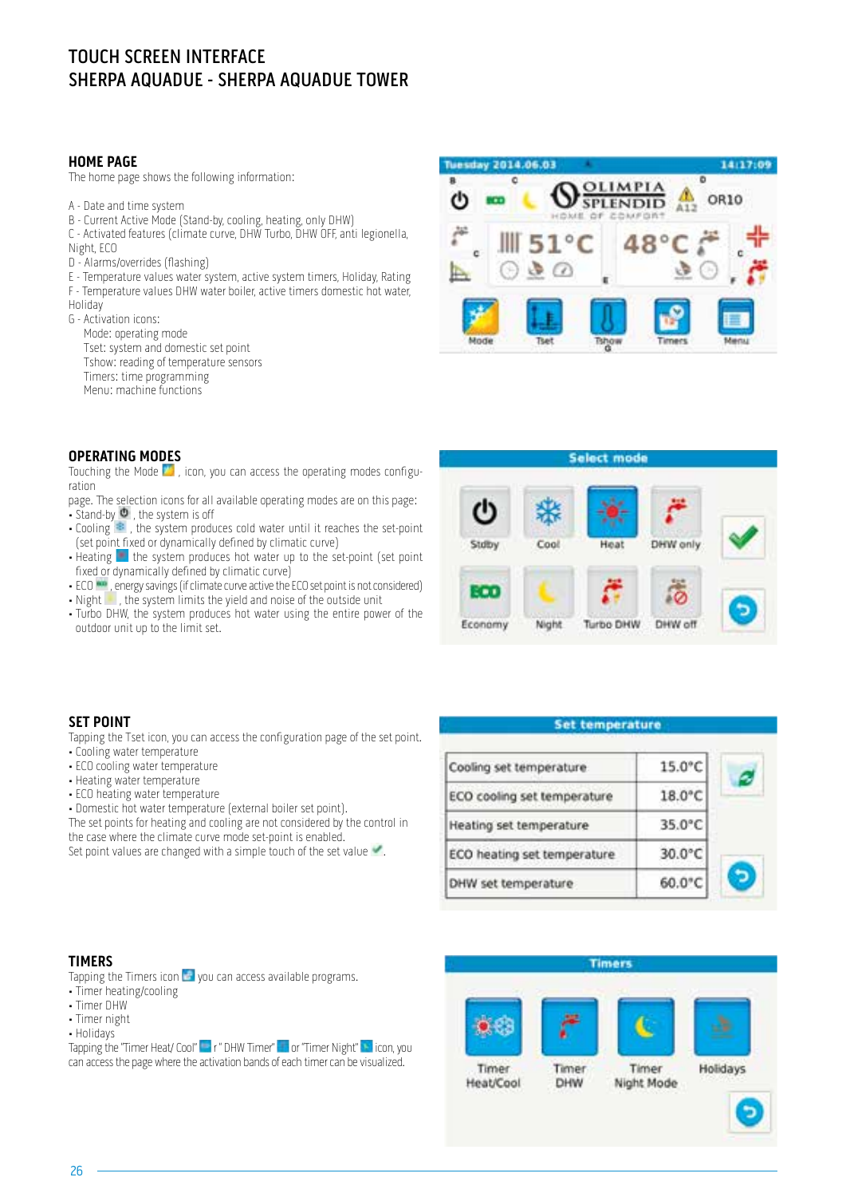# TOUCH SCREEN INTERFACE SHERPA AQUADUE - SHERPA AQUADUE TOWER

#### **HOME PAGE**

The home page shows the following information:

- A Date and time system
- B Current Active Mode (Stand-by, cooling, heating, only DHW)
- C Activated features (climate curve, DHW Turbo, DHW OFF, anti legionella,
- Night, ECO
- D Alarms/overrides (flashing)
- E Temperature values water system, active system timers, Holiday, Rating
- F Temperature values DHW water boiler, active timers domestic hot water,
- Holiday
- G Activation icons:
	- Mode: operating mode
	- Tset: system and domestic set point
	- Tshow: reading of temperature sensors
	- Timers: time programming
	- Menu: machine functions

#### **OPERATING MODES**

Touching the Mode  $\blacksquare$ , icon, you can access the operating modes configuration

- page. The selection icons for all available operating modes are on this page: • Stand-by  $\bullet$ , the system is off
- Cooling  $\approx$ , the system produces cold water until it reaches the set-point (set point fixed or dynamically defined by climatic curve)
- Heating  $\blacksquare$  the system produces hot water up to the set-point (set point fixed or dynamically defined by climatic curve)
- ECO  $\cdots$ , energy savings (if climate curve active the ECO set point is not considered)
- Night , the system limits the yield and noise of the outside unit
- Turbo DHW, the system produces hot water using the entire power of the outdoor unit up to the limit set.



## Select mode Stdby Cool Heat DHW only : . . Economy Night **Turbo DHW** DHW off

| <b>Set temperature</b>      |                  |  |
|-----------------------------|------------------|--|
| Cooling set temperature     | 15.0°C           |  |
| ECO cooling set temperature | 18.0°C           |  |
| Heating set temperature     | $35.0^{\circ}$ C |  |
| ECO heating set temperature | 30.0°C           |  |
| DHW set temperature         | 60.0°C           |  |

#### **SET POINT**

Tapping the Tset icon, you can access the configuration page of the set point.

- Cooling water temperature
- ECO cooling water temperature
- Heating water temperature
- ECO heating water temperature
- Domestic hot water temperature (external boiler set point).
- The set points for heating and cooling are not considered by the control in the case where the climate curve mode set-point is enabled.

Set point values are changed with a simple touch of the set value

#### **TIMERS**

Tapping the Timers icon  $\mathbb{Z}$  vou can access available programs.

- Timer heating/cooling
- Timer DHW
- Timer night
- Holidays

Tapping the "Timer Heat/ Cool" **Fig. 1** " DHW Timer" **The Timer Night" i**con, you can access the page where the activation bands of each timer can be visualized.